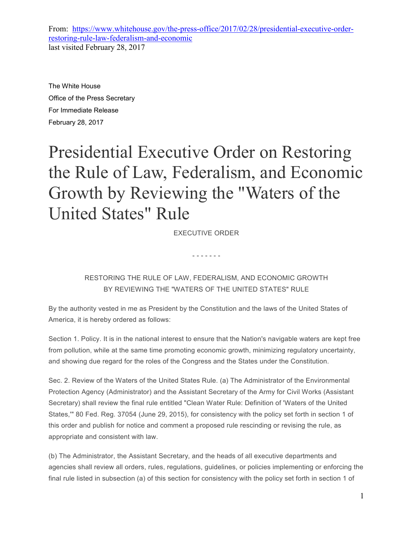From: https://www.whitehouse.gov/the-press-office/2017/02/28/presidential-executive-orderrestoring-rule-law-federalism-and-economic last visited February 28, 2017

The White House Office of the Press Secretary For Immediate Release February 28, 2017

## Presidential Executive Order on Restoring the Rule of Law, Federalism, and Economic Growth by Reviewing the "Waters of the United States" Rule

EXECUTIVE ORDER

- - - - - - -

## RESTORING THE RULE OF LAW, FEDERALISM, AND ECONOMIC GROWTH BY REVIEWING THE "WATERS OF THE UNITED STATES" RULE

By the authority vested in me as President by the Constitution and the laws of the United States of America, it is hereby ordered as follows:

Section 1. Policy. It is in the national interest to ensure that the Nation's navigable waters are kept free from pollution, while at the same time promoting economic growth, minimizing regulatory uncertainty, and showing due regard for the roles of the Congress and the States under the Constitution.

Sec. 2. Review of the Waters of the United States Rule. (a) The Administrator of the Environmental Protection Agency (Administrator) and the Assistant Secretary of the Army for Civil Works (Assistant Secretary) shall review the final rule entitled "Clean Water Rule: Definition of 'Waters of the United States,'" 80 Fed. Reg. 37054 (June 29, 2015), for consistency with the policy set forth in section 1 of this order and publish for notice and comment a proposed rule rescinding or revising the rule, as appropriate and consistent with law.

(b) The Administrator, the Assistant Secretary, and the heads of all executive departments and agencies shall review all orders, rules, regulations, guidelines, or policies implementing or enforcing the final rule listed in subsection (a) of this section for consistency with the policy set forth in section 1 of